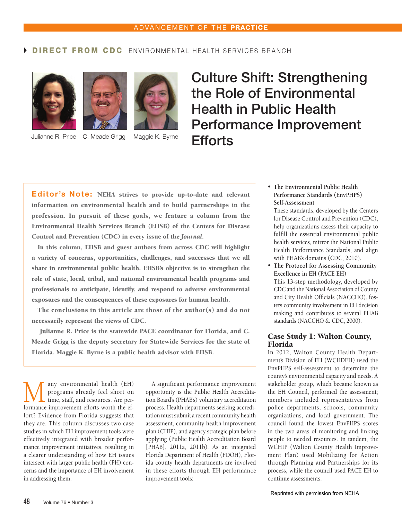# DIRECT FROM CDC ENVIRONMENTAL HEALTH SERVICES BRANCH







# Culture Shift: Strengthening the Role of Environmental Health in Public Health Performance Improvement Julianne R. Price C. Meade Grigg Maggie K. Byrne **Efforts**

Editor's Note: NEHA strives to provide up-to-date and relevant information on environmental health and to build partnerships in the profession. In pursuit of these goals, we feature a column from the Environmental Health Services Branch (EHSB) of the Centers for Disease Control and Prevention (CDC) in every issue of the *Journal*.

In this column, EHSB and guest authors from across CDC will highlight a variety of concerns, opportunities, challenges, and successes that we all share in environmental public health. EHSB's objective is to strengthen the role of state, local, tribal, and national environmental health programs and professionals to anticipate, identify, and respond to adverse environmental exposures and the consequences of these exposures for human health.

The conclusions in this article are those of the author(s) and do not necessarily represent the views of CDC.

Julianne R. Price is the statewide PACE coordinator for Florida, and C. Meade Grigg is the deputy secretary for Statewide Services for the state of Florida. Maggie K. Byrne is a public health advisor with EHSB.

**M** any environmental health (EH)<br>time, staff, and resources. Are per-<br>formance improvement efforts worth the efprograms already feel short on formance improvement efforts worth the effort? Evidence from Florida suggests that they are. This column discusses two case studies in which EH improvement tools were effectively integrated with broader performance improvement initiatives, resulting in a clearer understanding of how EH issues intersect with larger public health (PH) concerns and the importance of EH involvement in addressing them.

A significant performance improvement opportunity is the Public Health Accreditation Board's (PHAB's) voluntary accreditation process. Health departments seeking accreditation must submit a recent community health assessment, community health improvement plan (CHIP), and agency strategic plan before applying (Public Health Accreditation Board [PHAB], 2011a, 2011b). As an integrated Florida Department of Health (FDOH), Florida county health departments are involved in these efforts through EH performance improvement tools:

• **The Environmental Public Health Performance Standards (EnvPHPS) Self-Assessment** 

These standards, developed by the Centers for Disease Control and Prevention (CDC), help organizations assess their capacity to fulfill the essential environmental public health services, mirror the National Public Health Performance Standards, and align with PHAB's domains (CDC, 2010).

• **The Protocol for Assessing Community Excellence in EH (PACE EH)**  This 13-step methodology, developed by CDC and the National Association of County and City Health Officials (NACCHO), fosters community involvement in EH decision making and contributes to several PHAB standards (NACCHO & CDC, 2000).

### Case Study 1: Walton County, Florida

In 2012, Walton County Health Department's Division of EH (WCHDEH) used the EnvPHPS self-assessment to determine the county's environmental capacity and needs. A stakeholder group, which became known as the EH Council, performed the assessment; members included representatives from police departments, schools, community organizations, and local government. The council found the lowest EnvPHPS scores in the two areas of monitoring and linking people to needed resources. In tandem, the WCHIP (Walton County Health Improvement Plan) used Mobilizing for Action through Planning and Partnerships for its process, while the council used PACE EH to continue assessments.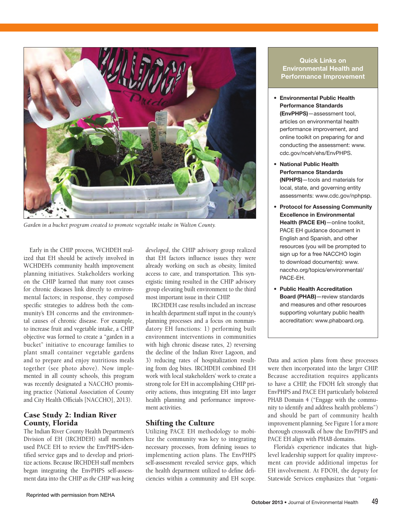

Garden in a bucket program created to promote vegetable intake in Walton County.

Early in the CHIP process, WCHDEH realized that EH should be actively involved in WCHDEH's community health improvement planning initiatives. Stakeholders working on the CHIP learned that many root causes for chronic diseases link directly to environmental factors; in response, they composed specific strategies to address both the community's EH concerns and the environmental causes of chronic disease. For example, to increase fruit and vegetable intake, a CHIP objective was formed to create a "garden in a bucket" initiative to encourage families to plant small container vegetable gardens and to prepare and enjoy nutritious meals together (see photo above). Now implemented in all county schools, this program was recently designated a NACCHO promising practice (National Association of County and City Health Officials [NACCHO], 2013).

### Case Study 2: Indian River County, Florida

The Indian River County Health Department's Division of EH (IRCHDEH) staff members used PACE EH to review the EnvPHPS-identified service gaps and to develop and prioritize actions. Because IRCHDEH staff members began integrating the EnvPHPS self-assessment data into the CHIP *as the CHIP was being*  *developed*, the CHIP advisory group realized that EH factors influence issues they were already working on such as obesity, limited access to care, and transportation. This synergistic timing resulted in the CHIP advisory group elevating built environment to the third most important issue in their CHIP.

IRCHDEH case results included an increase in health department staff input in the county's planning processes and a focus on nonmandatory EH functions: 1) performing built environment interventions in communities with high chronic disease rates, 2) reversing the decline of the Indian River Lagoon, and 3) reducing rates of hospitalization resulting from dog bites. IRCHDEH combined EH work with local stakeholders' work to create a strong role for EH in accomplishing CHIP priority actions, thus integrating EH into larger health planning and performance improvement activities.

# Shifting the Culture

Utilizing PACE EH methodology to mobilize the community was key to integrating necessary processes, from defining issues to implementing action plans. The EnvPHPS self-assessment revealed service gaps, which the health department utilized to define deficiencies within a community and EH scope.

#### Quick Links on Environmental Health and Performance Improvement

- • Environmental Public Health Performance Standards (EnvPHPS)—assessment tool, articles on environmental health performance improvement, and online toolkit on preparing for and conducting the assessment: www. cdc.gov/nceh/ehs/EnvPHPS.
- • National Public Health Performance Standards (NPHPS)—tools and materials for local, state, and governing entity assessments: www.cdc.gov/nphpsp.
- Protocol for Assessing Community Excellence in Environmental Health (PACE EH)-online toolkit, PAcE EH guidance document in English and Spanish, and other resources (you will be prompted to sign up for a free NACCHO login to download documents): www. naccho.org/topics/environmental/ PAcE-EH.
- Public Health Accreditation Board (PHAB)—review standards and measures and other resources supporting voluntary public health accreditation: www.phaboard.org.

Data and action plans from these processes were then incorporated into the larger CHIP. Because accreditation requires applicants to have a CHIP, the FDOH felt strongly that EnvPHPS and PACE EH particularly bolstered PHAB Domain 4 ("Engage with the community to identify and address health problems") and should be part of community health improvement planning. See Figure 1 for a more thorough crosswalk of how the EnvPHPS and PACE EH align with PHAB domains.

Florida's experience indicates that highlevel leadership support for quality improvement can provide additional impetus for EH involvement. At FDOH, the deputy for Statewide Services emphasizes that "organi-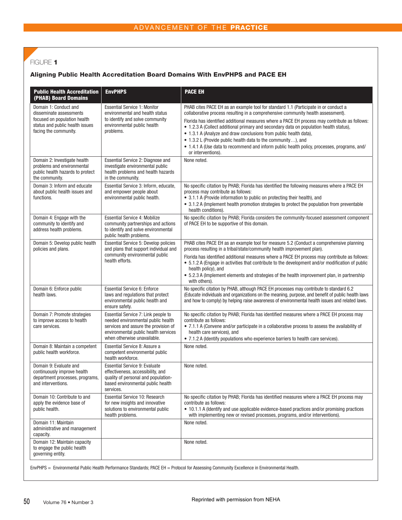# FIGURE 1

#### Aligning Public Health Accreditation Board Domains With envPHPS and PACe eH

| <b>Public Health Accreditation</b><br>(PHAB) Board Domains                                                                                   | <b>EnvPHPS</b>                                                                                                                                                                           | <b>PACE EH</b>                                                                                                                                                                                                                                                                                                                                                                                                                                                                                                                                                                                                               |
|----------------------------------------------------------------------------------------------------------------------------------------------|------------------------------------------------------------------------------------------------------------------------------------------------------------------------------------------|------------------------------------------------------------------------------------------------------------------------------------------------------------------------------------------------------------------------------------------------------------------------------------------------------------------------------------------------------------------------------------------------------------------------------------------------------------------------------------------------------------------------------------------------------------------------------------------------------------------------------|
| Domain 1: Conduct and<br>disseminate assessments<br>focused on population health<br>status and public health issues<br>facing the community. | <b>Essential Service 1: Monitor</b><br>environmental and health status<br>to identify and solve community<br>environmental public health<br>problems.                                    | PHAB cites PACE EH as an example tool for standard 1.1 (Participate in or conduct a<br>collaborative process resulting in a comprehensive community health assessment).<br>Florida has identified additional measures where a PACE EH process may contribute as follows:<br>• 1.2.3 A (Collect additional primary and secondary data on population health status),<br>• 1.3.1 A (Analyze and draw conclusions from public health data),<br>• 1.3.2 L (Provide public health data to the community), and<br>• 1.4.1 A (Use data to recommend and inform public health policy, processes, programs, and/<br>or interventions). |
| Domain 2: Investigate health<br>problems and environmental<br>public health hazards to protect<br>the community.                             | Essential Service 2: Diagnose and<br>investigate environmental public<br>health problems and health hazards<br>in the community.                                                         | None noted.                                                                                                                                                                                                                                                                                                                                                                                                                                                                                                                                                                                                                  |
| Domain 3: Inform and educate<br>about public health issues and<br>functions.                                                                 | Essential Service 3: Inform, educate,<br>and empower people about<br>environmental public health.                                                                                        | No specific citation by PHAB; Florida has identified the following measures where a PACE EH<br>process may contribute as follows:<br>• 3.1.1 A (Provide information to public on protecting their health), and<br>• 3.1.2 A (Implement health promotion strategies to protect the population from preventable<br>health conditions).                                                                                                                                                                                                                                                                                         |
| Domain 4: Engage with the<br>community to identify and<br>address health problems.                                                           | <b>Essential Service 4: Mobilize</b><br>community partnerships and actions<br>to identify and solve environmental<br>public health problems.                                             | No specific citation by PHAB; Florida considers the community-focused assessment component<br>of PACE EH to be supportive of this domain.                                                                                                                                                                                                                                                                                                                                                                                                                                                                                    |
| Domain 5: Develop public health<br>policies and plans.                                                                                       | Essential Service 5: Develop policies<br>and plans that support individual and<br>community environmental public<br>health efforts.                                                      | PHAB cites PACE EH as an example tool for measure 5.2 (Conduct a comprehensive planning<br>process resulting in a tribal/state/community health improvement plan).<br>Florida has identified additional measures where a PACE EH process may contribute as follows:<br>• 5.1.2 A (Engage in activities that contribute to the development and/or modification of public<br>health policy), and<br>• 5.2.3 A (Implement elements and strategies of the health improvement plan, in partnership<br>with others).                                                                                                               |
| Domain 6: Enforce public<br>health laws.                                                                                                     | <b>Essential Service 6: Enforce</b><br>laws and regulations that protect<br>environmental public health and<br>ensure safety.                                                            | No specific citation by PHAB, although PACE EH processes may contribute to standard 6.2<br>(Educate individuals and organizations on the meaning, purpose, and benefit of public health laws<br>and how to comply) by helping raise awareness of environmental health issues and related laws.                                                                                                                                                                                                                                                                                                                               |
| Domain 7: Promote strategies<br>to improve access to health<br>care services.                                                                | Essential Service 7: Link people to<br>needed environmental public health<br>services and assure the provision of<br>environmental public health services<br>when otherwise unavailable. | No specific citation by PHAB; Florida has identified measures where a PACE EH process may<br>contribute as follows:<br>• 7.1.1 A (Convene and/or participate in a collaborative process to assess the availability of<br>health care services), and<br>• 7.1.2 A (Identify populations who experience barriers to health care services).                                                                                                                                                                                                                                                                                     |
| Domain 8: Maintain a competent<br>public health workforce.                                                                                   | Essential Service 8: Assure a<br>competent environmental public<br>health workforce.                                                                                                     | None noted.                                                                                                                                                                                                                                                                                                                                                                                                                                                                                                                                                                                                                  |
| Domain 9: Evaluate and<br>continuously improve health<br>department processes, programs,<br>and interventions.                               | <b>Essential Service 9: Evaluate</b><br>effectiveness, accessibility, and<br>quality of personal and population-<br>based environmental public health<br>services.                       | None noted.                                                                                                                                                                                                                                                                                                                                                                                                                                                                                                                                                                                                                  |
| Domain 10: Contribute to and<br>apply the evidence base of<br>public health.                                                                 | Essential Service 10: Research<br>for new insights and innovative<br>solutions to environmental public<br>health problems.                                                               | No specific citation by PHAB; Florida has identified measures where a PACE EH process may<br>contribute as follows:<br>• 10.1.1 A (Identify and use applicable evidence-based practices and/or promising practices<br>with implementing new or revised processes, programs, and/or interventions).                                                                                                                                                                                                                                                                                                                           |
| Domain 11: Maintain<br>administrative and management<br>capacity.                                                                            |                                                                                                                                                                                          | None noted.                                                                                                                                                                                                                                                                                                                                                                                                                                                                                                                                                                                                                  |
| Domain 12: Maintain capacity<br>to engage the public health<br>governing entity.                                                             |                                                                                                                                                                                          | None noted.                                                                                                                                                                                                                                                                                                                                                                                                                                                                                                                                                                                                                  |

EnvPHPS = Environmental Public Health Performance Standards; PACE EH = Protocol for Assessing Community Excellence in Environmental Health.